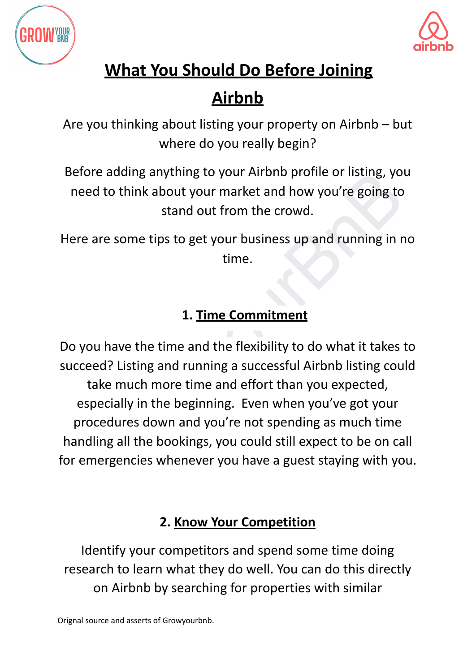



## **Airbnb**

Are you thinking about listing your property on Airbnb – but where do you really begin?

Before adding anything to your Airbnb profile or listing, you need to think about your market and how you're going to stand out from the crowd.

Here are some tips to get your business up and running in no time.

#### **1. Time Commitment**

before adding anything to your Airbith profile or listing, you<br>
meed to think about your market and how you're going to<br>
stand out from the crowd.<br>
ere are some tips to get your business up and running in no<br>
time.<br>
1. Tim Do you have the time and the flexibility to do what it takes to succeed? Listing and running a successful Airbnb listing could take much more time and effort than you expected, especially in the beginning. Even when you've got your procedures down and you're not spending as much time handling all the bookings, you could still expect to be on call for emergencies whenever you have a guest staying with you.

#### **2. Know Your Competition**

Identify your competitors and spend some time doing research to learn what they do well. You can do this directly on Airbnb by searching for properties with similar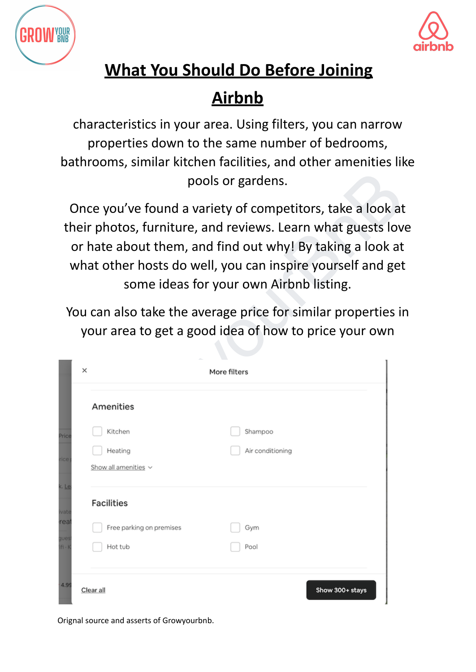



## **Airbnb**

characteristics in your area. Using filters, you can narrow properties down to the same number of bedrooms, bathrooms, similar kitchen facilities, and other amenities like pools or gardens.

| pools or gardens.                                                                                                                                                                                                                                                                                |   |                                                                                                                                        |  |                             |                 |  |
|--------------------------------------------------------------------------------------------------------------------------------------------------------------------------------------------------------------------------------------------------------------------------------------------------|---|----------------------------------------------------------------------------------------------------------------------------------------|--|-----------------------------|-----------------|--|
| Once you've found a variety of competitors, take a look at<br>their photos, furniture, and reviews. Learn what guests love<br>or hate about them, and find out why! By taking a look at<br>what other hosts do well, you can inspire yourself and get<br>some ideas for your own Airbnb listing. |   |                                                                                                                                        |  |                             |                 |  |
|                                                                                                                                                                                                                                                                                                  | × | You can also take the average price for similar properties in<br>your area to get a good idea of how to price your own<br>More filters |  |                             |                 |  |
| rea<br>gues<br>ifi - I                                                                                                                                                                                                                                                                           |   | Amenities<br>Kitchen<br>Heating<br>Show all amenities v                                                                                |  | Shampoo<br>Air conditioning |                 |  |
|                                                                                                                                                                                                                                                                                                  |   | <b>Facilities</b><br>Free parking on premises<br>Hot tub                                                                               |  | Gym<br>Pool                 |                 |  |
| 4.99                                                                                                                                                                                                                                                                                             |   | Clear all                                                                                                                              |  |                             | Show 300+ stays |  |

Orignal source and asserts of Growyourbnb.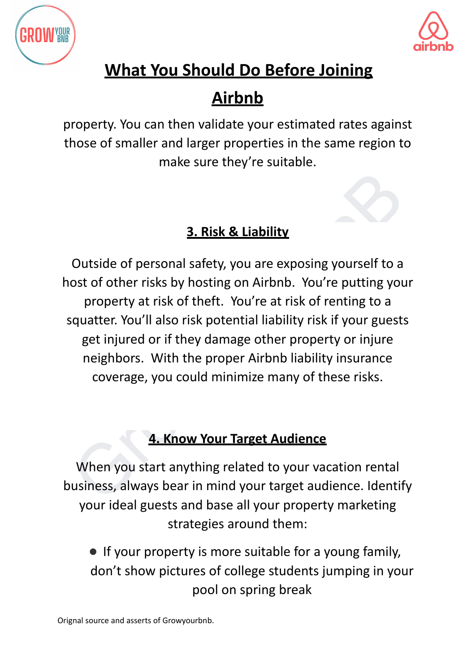



## **Airbnb**

property. You can then validate your estimated rates against those of smaller and larger properties in the same region to make sure they're suitable.

#### **3. Risk & Liability**

**3. Risk & Liability**<br> **3. Risk & Liability**<br>
Outside of personal safety, you are exposing yourself to a<br>
ost of other risks by hosting on Airbnb. You're putting your<br>
property at risk of theft. You're at risk of renting t Outside of personal safety, you are exposing yourself to a host of other risks by hosting on Airbnb. You're putting your property at risk of theft. You're at risk of renting to a squatter. You'll also risk potential liability risk if your guests get injured or if they damage other property or injure neighbors. With the proper Airbnb liability insurance coverage, you could minimize many of these risks.

#### **4. Know Your Target Audience**

When you start anything related to your vacation rental business, always bear in mind your target audience. Identify your ideal guests and base all your property marketing strategies around them:

● If your property is more suitable for a young family, don't show pictures of college students jumping in your pool on spring break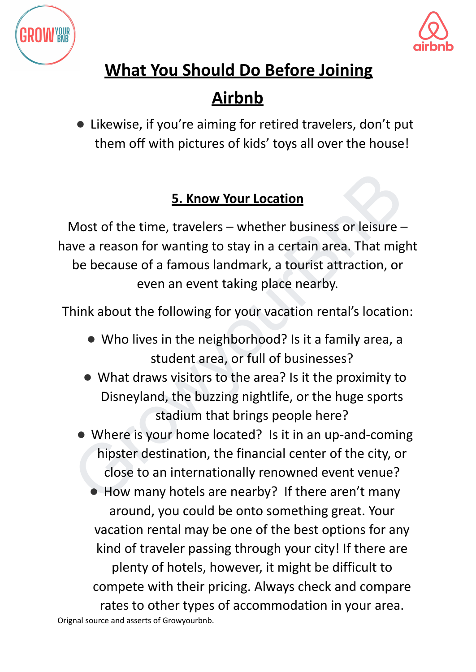



## **Airbnb**

● Likewise, if you're aiming for retired travelers, don't put them off with pictures of kids' toys all over the house!

#### **5. Know Your Location**

5. Know Your Location<br>
Wost of the time, travelers – whether business or leisure –<br>
we a reason for wanting to stay in a certain area. That might<br>
be because of a famous landmark, a tourist attraction, or<br>
even an event ta Most of the time, travelers – whether business or leisure – have a reason for wanting to stay in a certain area. That might be because of a famous landmark, a tourist attraction, or even an event taking place nearby.

Think about the following for your vacation rental's location:

- Who lives in the neighborhood? Is it a family area, a student area, or full of businesses?
- What draws visitors to the area? Is it the proximity to Disneyland, the buzzing nightlife, or the huge sports stadium that brings people here?
- Where is your home located? Is it in an up-and-coming hipster destination, the financial center of the city, or close to an internationally renowned event venue?

● How many hotels are nearby? If there aren't many around, you could be onto something great. Your vacation rental may be one of the best options for any kind of traveler passing through your city! If there are plenty of hotels, however, it might be difficult to compete with their pricing. Always check and compare rates to other types of accommodation in your area. Orignal source and asserts of Growyourbnb.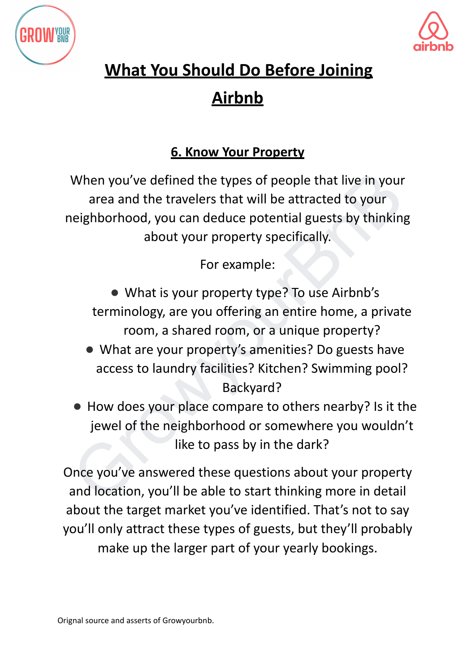



#### **6. Know Your Property**

When you've defined the types of people that live in your<br>
area and the travelers that will be attracted to your<br>
neighborhood, you can deduce potential guests by thinking<br>
about your property specifically.<br>
For example:<br> When you've defined the types of people that live in your area and the travelers that will be attracted to your neighborhood, you can deduce potential guests by thinking about your property specifically.

For example:

● What is your property type? To use Airbnb's terminology, are you offering an entire home, a private room, a shared room, or a unique property?

- What are your property's amenities? Do guests have access to laundry facilities? Kitchen? Swimming pool? Backyard?
- How does your place compare to others nearby? Is it the jewel of the neighborhood or somewhere you wouldn't like to pass by in the dark?

Once you've answered these questions about your property and location, you'll be able to start thinking more in detail about the target market you've identified. That's not to say you'll only attract these types of guests, but they'll probably make up the larger part of your yearly bookings.